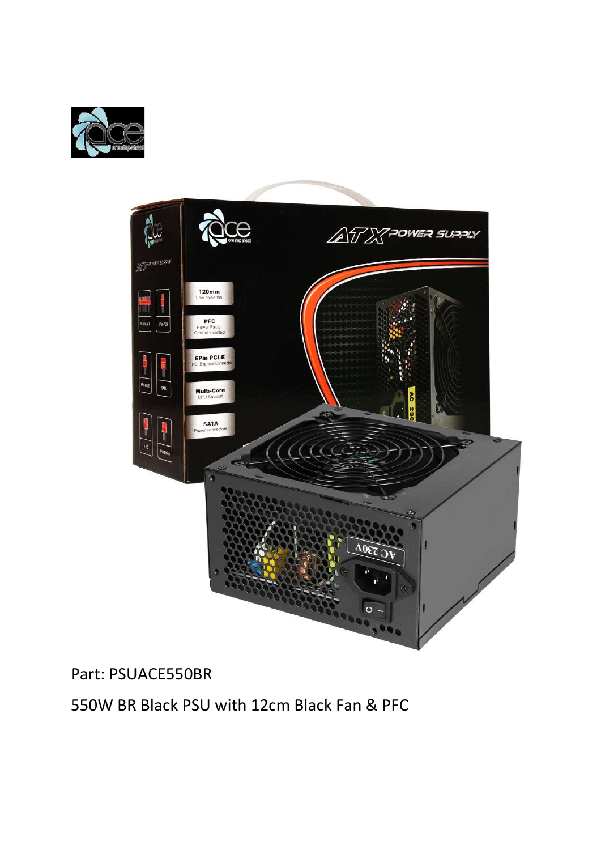



# Part: PSUACE550BR

550W BR Black PSU with 12cm Black Fan & PFC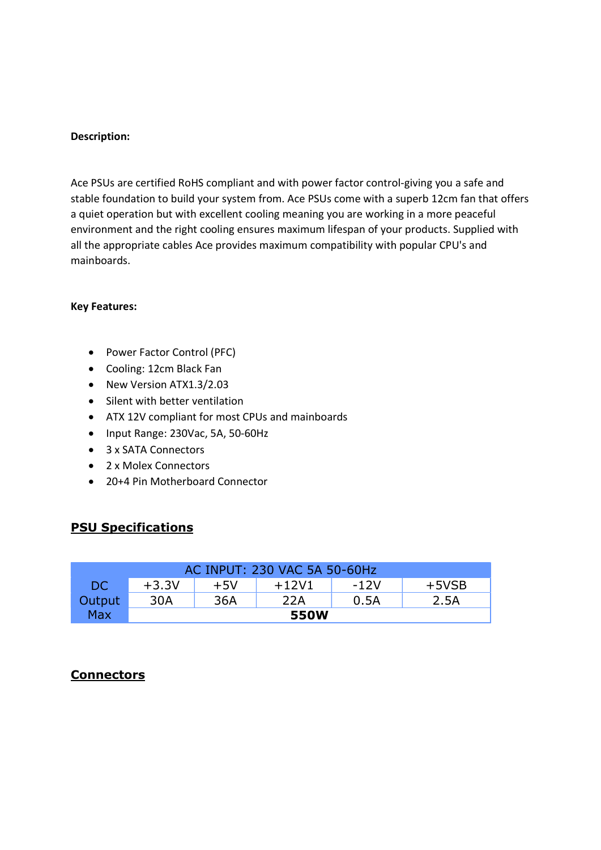#### Description:

Ace PSUs are certified RoHS compliant and with power factor control-giving you a safe and stable foundation to build your system from. Ace PSUs come with a superb 12cm fan that offers a quiet operation but with excellent cooling meaning you are working in a more peaceful environment and the right cooling ensures maximum lifespan of your products. Supplied with all the appropriate cables Ace provides maximum compatibility with popular CPU's and mainboards.

#### Key Features:

- Power Factor Control (PFC)
- Cooling: 12cm Black Fan
- New Version ATX1.3/2.03
- Silent with better ventilation
- ATX 12V compliant for most CPUs and mainboards
- Input Range: 230Vac, 5A, 50-60Hz
- 3 x SATA Connectors
- 2 x Molex Connectors
- 20+4 Pin Motherboard Connector

### PSU Specifications

| AC INPUT: 230 VAC 5A 50-60Hz |         |       |         |      |         |
|------------------------------|---------|-------|---------|------|---------|
| DC.                          | $+3.3V$ | $+5V$ | $+12V1$ | -12V | $+5VSB$ |
| Output                       | 30A     | 36A   | 22A     | 0.5A | 2.5A    |
| <b>Max</b>                   | 550W    |       |         |      |         |

### **Connectors**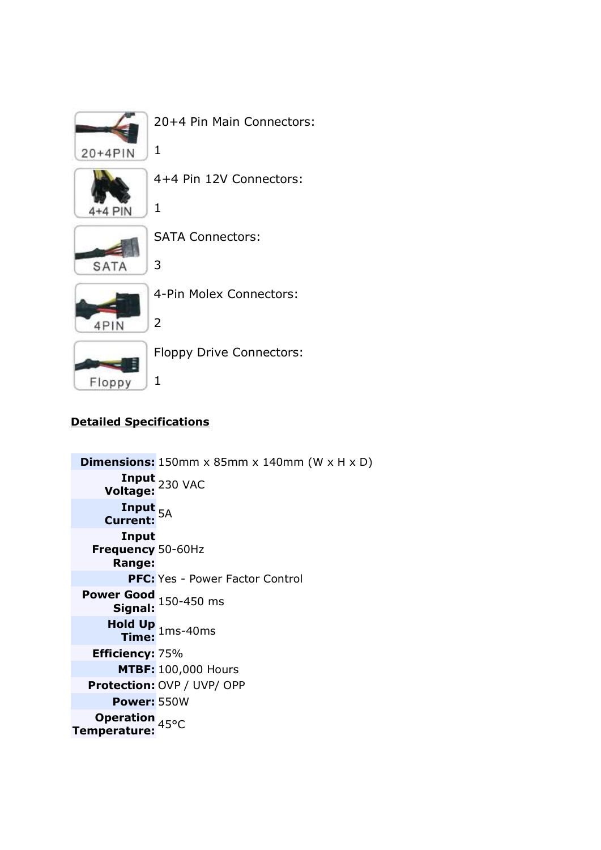

20+4 Pin Main Connectors:

1

1

3

2

1



4+4 Pin 12V Connectors:



SATA Connectors:



4-Pin Molex Connectors:



Floppy Drive Connectors:

## Detailed Specifications

**Dimensions:** 150mm  $\times$  85mm  $\times$  140mm (W  $\times$  H  $\times$  D) **Input** 230 VAC<br>**Voltage:** 230 VAC Input <sub>5A</sub><br>Current: <sup>5A</sup> Input Frequency 50-60Hz Range: PFC: Yes - Power Factor Control Power Good<br>Signal: 150-450 ms Hold Up 1ms-40ms Efficiency: 75% MTBF: 100,000 Hours Protection: OVP / UVP/ OPP Power: 550W **Operation 45°C<br>Temperature:**